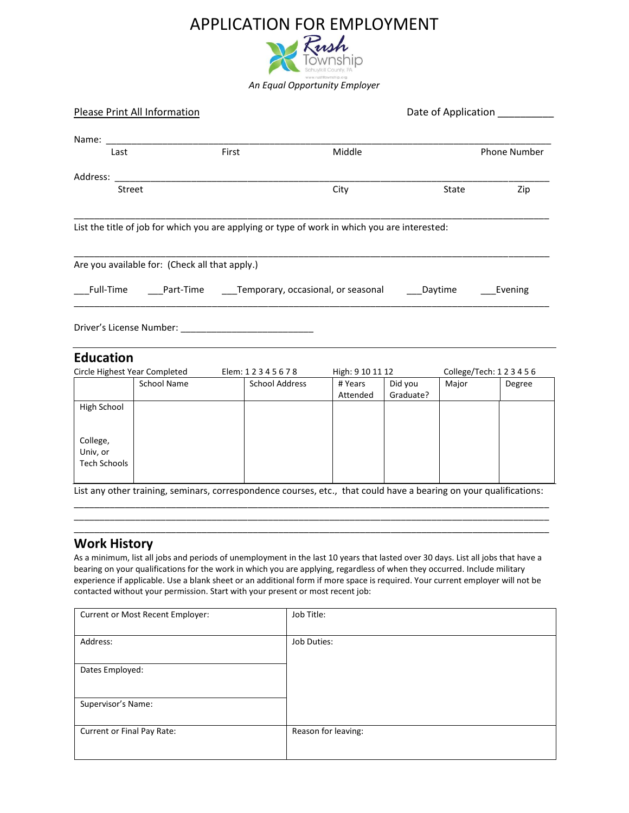

| <b>Please Print All Information</b> |                       | Date of Application _________                                                                                                                                                                                                                                                                                                                                                                                                                                                                                                                       |                      |                  |                                                                                                                                                                 |
|-------------------------------------|-----------------------|-----------------------------------------------------------------------------------------------------------------------------------------------------------------------------------------------------------------------------------------------------------------------------------------------------------------------------------------------------------------------------------------------------------------------------------------------------------------------------------------------------------------------------------------------------|----------------------|------------------|-----------------------------------------------------------------------------------------------------------------------------------------------------------------|
|                                     |                       |                                                                                                                                                                                                                                                                                                                                                                                                                                                                                                                                                     |                      |                  |                                                                                                                                                                 |
|                                     | First                 | Middle                                                                                                                                                                                                                                                                                                                                                                                                                                                                                                                                              |                      |                  | <b>Phone Number</b>                                                                                                                                             |
|                                     |                       |                                                                                                                                                                                                                                                                                                                                                                                                                                                                                                                                                     |                      |                  |                                                                                                                                                                 |
| Street                              |                       | City                                                                                                                                                                                                                                                                                                                                                                                                                                                                                                                                                |                      | State            | Zip                                                                                                                                                             |
|                                     |                       |                                                                                                                                                                                                                                                                                                                                                                                                                                                                                                                                                     |                      |                  |                                                                                                                                                                 |
|                                     |                       |                                                                                                                                                                                                                                                                                                                                                                                                                                                                                                                                                     |                      |                  |                                                                                                                                                                 |
|                                     |                       |                                                                                                                                                                                                                                                                                                                                                                                                                                                                                                                                                     |                      |                  | Evening                                                                                                                                                         |
|                                     |                       |                                                                                                                                                                                                                                                                                                                                                                                                                                                                                                                                                     |                      |                  |                                                                                                                                                                 |
| <b>Education</b>                    |                       |                                                                                                                                                                                                                                                                                                                                                                                                                                                                                                                                                     |                      |                  |                                                                                                                                                                 |
|                                     | Elem: 12345678        |                                                                                                                                                                                                                                                                                                                                                                                                                                                                                                                                                     |                      |                  | College/Tech: 123456                                                                                                                                            |
| <b>School Name</b>                  | <b>School Address</b> | # Years<br>Attended                                                                                                                                                                                                                                                                                                                                                                                                                                                                                                                                 | Did you<br>Graduate? | Major            | Degree                                                                                                                                                          |
|                                     |                       |                                                                                                                                                                                                                                                                                                                                                                                                                                                                                                                                                     |                      |                  |                                                                                                                                                                 |
|                                     |                       |                                                                                                                                                                                                                                                                                                                                                                                                                                                                                                                                                     |                      |                  |                                                                                                                                                                 |
|                                     |                       |                                                                                                                                                                                                                                                                                                                                                                                                                                                                                                                                                     |                      |                  |                                                                                                                                                                 |
|                                     |                       | Name: when the contract of the contract of the contract of the contract of the contract of the contract of the contract of the contract of the contract of the contract of the contract of the contract of the contract of the<br>Address: Analysis and the contract of the contract of the contract of the contract of the contract of the contract of the contract of the contract of the contract of the contract of the contract of the contract of the cont<br>Are you available for: (Check all that apply.)<br>Circle Highest Year Completed |                      | High: 9 10 11 12 | List the title of job for which you are applying or type of work in which you are interested:<br>Full-Time Part-Time Temporary, occasional, or seasonal Daytime |

List any other training, seminars, correspondence courses, etc., that could have a bearing on your qualifications: \_\_\_\_\_\_\_\_\_\_\_\_\_\_\_\_\_\_\_\_\_\_\_\_\_\_\_\_\_\_\_\_\_\_\_\_\_\_\_\_\_\_\_\_\_\_\_\_\_\_\_\_\_\_\_\_\_\_\_\_\_\_\_\_\_\_\_\_\_\_\_\_\_\_\_\_\_\_\_\_\_\_\_\_\_\_\_\_\_\_\_\_\_

\_\_\_\_\_\_\_\_\_\_\_\_\_\_\_\_\_\_\_\_\_\_\_\_\_\_\_\_\_\_\_\_\_\_\_\_\_\_\_\_\_\_\_\_\_\_\_\_\_\_\_\_\_\_\_\_\_\_\_\_\_\_\_\_\_\_\_\_\_\_\_\_\_\_\_\_\_\_\_\_\_\_\_\_\_\_\_\_\_\_\_\_\_ \_\_\_\_\_\_\_\_\_\_\_\_\_\_\_\_\_\_\_\_\_\_\_\_\_\_\_\_\_\_\_\_\_\_\_\_\_\_\_\_\_\_\_\_\_\_\_\_\_\_\_\_\_\_\_\_\_\_\_\_\_\_\_\_\_\_\_\_\_\_\_\_\_\_\_\_\_\_\_\_\_\_\_\_\_\_\_\_\_\_\_\_\_

### **Work History**

As a minimum, list all jobs and periods of unemployment in the last 10 years that lasted over 30 days. List all jobs that have a bearing on your qualifications for the work in which you are applying, regardless of when they occurred. Include military experience if applicable. Use a blank sheet or an additional form if more space is required. Your current employer will not be contacted without your permission. Start with your present or most recent job:

| Current or Most Recent Employer: | Job Title:          |
|----------------------------------|---------------------|
| Address:                         | Job Duties:         |
| Dates Employed:                  |                     |
| Supervisor's Name:               |                     |
| Current or Final Pay Rate:       | Reason for leaving: |
|                                  |                     |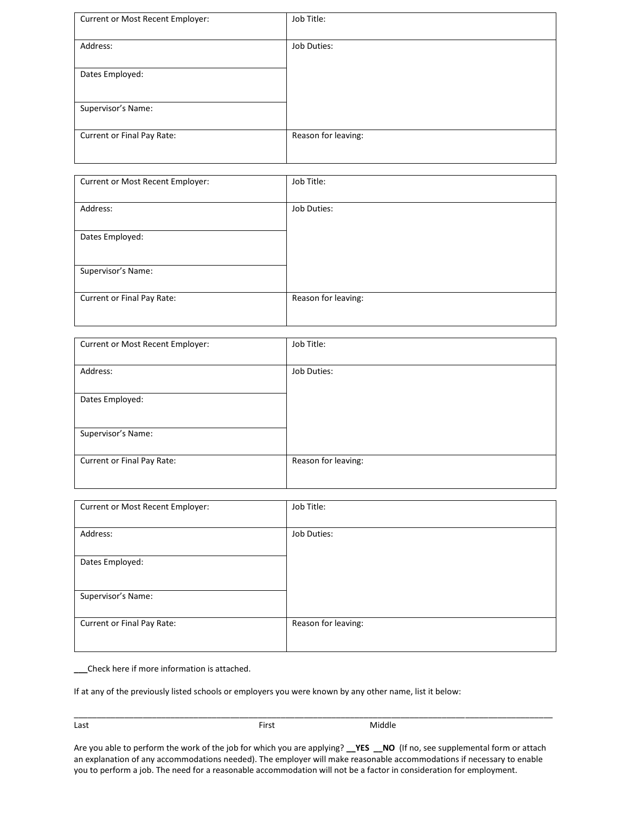| Current or Most Recent Employer: | Job Title:          |
|----------------------------------|---------------------|
| Address:                         | Job Duties:         |
| Dates Employed:                  |                     |
| Supervisor's Name:               |                     |
| Current or Final Pay Rate:       | Reason for leaving: |

| Current or Most Recent Employer: | Job Title:          |
|----------------------------------|---------------------|
| Address:                         | Job Duties:         |
| Dates Employed:                  |                     |
| Supervisor's Name:               |                     |
| Current or Final Pay Rate:       | Reason for leaving: |

| Current or Most Recent Employer: | Job Title:          |
|----------------------------------|---------------------|
| Address:                         | Job Duties:         |
| Dates Employed:                  |                     |
| Supervisor's Name:               |                     |
| Current or Final Pay Rate:       | Reason for leaving: |

| Current or Most Recent Employer: | Job Title:          |
|----------------------------------|---------------------|
| Address:                         | Job Duties:         |
| Dates Employed:                  |                     |
| Supervisor's Name:               |                     |
| Current or Final Pay Rate:       | Reason for leaving: |
|                                  |                     |

**\_\_\_**Check here if more information is attached.

If at any of the previously listed schools or employers you were known by any other name, list it below:

\_\_\_\_\_\_\_\_\_\_\_\_\_\_\_\_\_\_\_\_\_\_\_\_\_\_\_\_\_\_\_\_\_\_\_\_\_\_\_\_\_\_\_\_\_\_\_\_\_\_\_\_\_\_\_\_\_\_\_\_\_\_\_\_\_\_\_\_\_\_\_\_\_\_\_\_\_\_\_\_\_\_\_\_\_\_\_\_\_\_\_\_\_\_\_\_\_\_\_\_\_\_\_\_ Last **Example 2018** Class Controller Middle

Are you able to perform the work of the job for which you are applying? **\_\_YES \_\_NO** (If no, see supplemental form or attach an explanation of any accommodations needed). The employer will make reasonable accommodations if necessary to enable you to perform a job. The need for a reasonable accommodation will not be a factor in consideration for employment.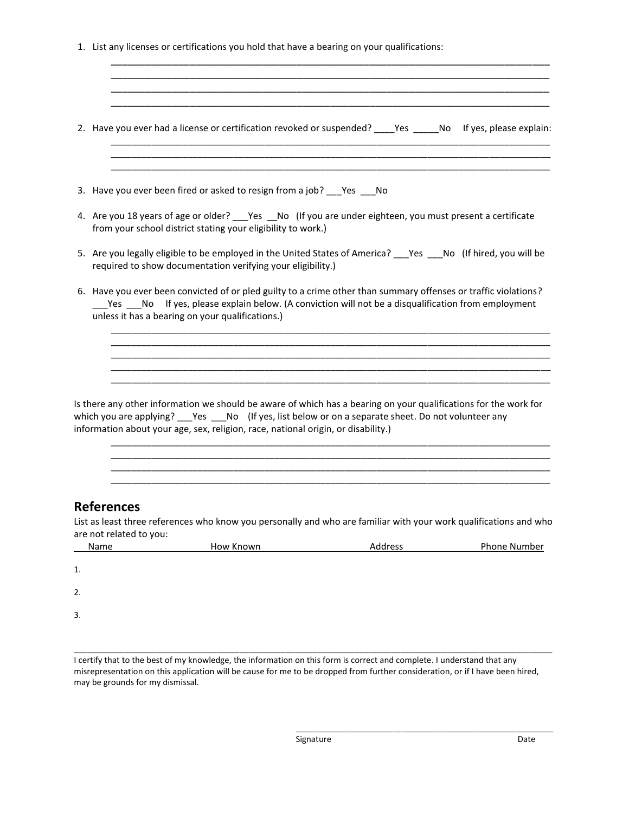1. List any licenses or certifications you hold that have a bearing on your qualifications:

|    |      |                         | 2. Have you ever had a license or certification revoked or suspended? _____Yes ______No If yes, please explain:                                                                                                                                                                                                   |         |              |
|----|------|-------------------------|-------------------------------------------------------------------------------------------------------------------------------------------------------------------------------------------------------------------------------------------------------------------------------------------------------------------|---------|--------------|
|    |      |                         |                                                                                                                                                                                                                                                                                                                   |         |              |
|    |      |                         | 3. Have you ever been fired or asked to resign from a job? Pes No                                                                                                                                                                                                                                                 |         |              |
|    |      |                         | 4. Are you 18 years of age or older? ___Yes __No (If you are under eighteen, you must present a certificate<br>from your school district stating your eligibility to work.)                                                                                                                                       |         |              |
|    |      |                         | 5. Are you legally eligible to be employed in the United States of America? ___Yes ___No (If hired, you will be<br>required to show documentation verifying your eligibility.)                                                                                                                                    |         |              |
|    |      |                         | 6. Have you ever been convicted of or pled guilty to a crime other than summary offenses or traffic violations?<br>_____Yes _____No If yes, please explain below. (A conviction will not be a disqualification from employment<br>unless it has a bearing on your qualifications.)                                |         |              |
|    |      |                         | Is there any other information we should be aware of which has a bearing on your qualifications for the work for<br>which you are applying? ____Yes _____No (If yes, list below or on a separate sheet. Do not volunteer any<br>information about your age, sex, religion, race, national origin, or disability.) |         |              |
|    |      |                         |                                                                                                                                                                                                                                                                                                                   |         |              |
|    |      | <b>References</b>       | List as least three references who know you personally and who are familiar with your work qualifications and who                                                                                                                                                                                                 |         |              |
|    |      | are not related to you: |                                                                                                                                                                                                                                                                                                                   |         |              |
|    | Name |                         | How Known                                                                                                                                                                                                                                                                                                         | Address | Phone Number |
| 1. |      |                         |                                                                                                                                                                                                                                                                                                                   |         |              |
| 2. |      |                         |                                                                                                                                                                                                                                                                                                                   |         |              |
| 3. |      |                         |                                                                                                                                                                                                                                                                                                                   |         |              |

I certify that to the best of my knowledge, the information on this form is correct and complete. I understand that any misrepresentation on this application will be cause for me to be dropped from further consideration, or if I have been hired, may be grounds for my dismissal.

\_\_\_\_\_\_\_\_\_\_\_\_\_\_\_\_\_\_\_\_\_\_\_\_\_\_\_\_\_\_\_\_\_\_\_\_\_\_\_\_\_\_\_\_\_\_\_\_\_\_\_\_\_\_\_\_\_\_\_\_\_\_\_\_\_\_\_\_\_\_\_\_\_\_\_\_\_\_\_\_\_\_\_\_\_\_\_\_\_\_\_\_\_\_\_\_\_\_\_\_\_\_\_\_

\_\_\_\_\_\_\_\_\_\_\_\_\_\_\_\_\_\_\_\_\_\_\_\_\_\_\_\_\_\_\_\_\_\_\_\_\_\_\_\_\_\_\_\_\_\_\_\_\_\_\_\_\_\_\_\_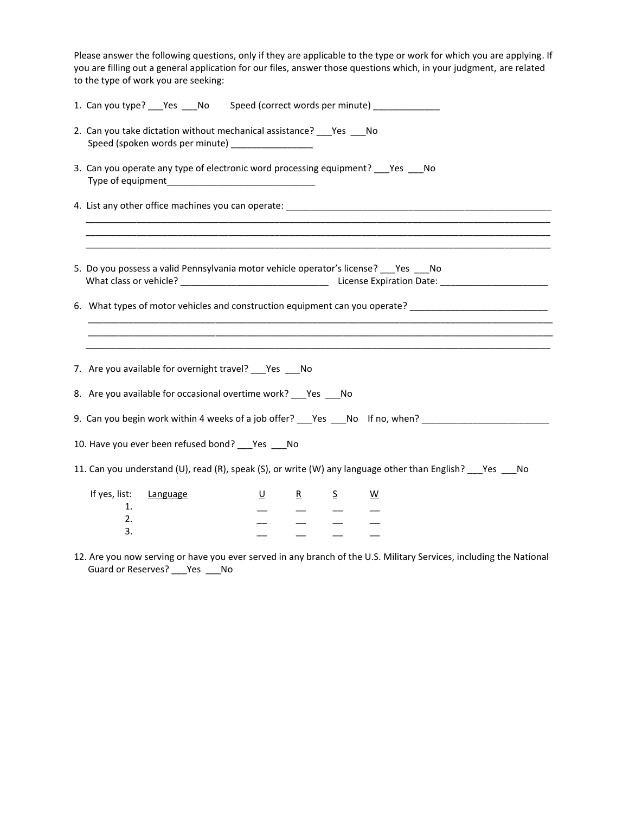| Please answer the following questions, only if they are applicable to the type or work for which you are applying. If<br>you are filling out a general application for our files, answer those questions which, in your judgment, are related<br>to the type of work you are seeking: |
|---------------------------------------------------------------------------------------------------------------------------------------------------------------------------------------------------------------------------------------------------------------------------------------|
| 1. Can you type? ___ Yes ___ No Speed (correct words per minute) ______________                                                                                                                                                                                                       |
| 2. Can you take dictation without mechanical assistance? ___ Yes ___ No<br>Speed (spoken words per minute) _________________                                                                                                                                                          |
| 3. Can you operate any type of electronic word processing equipment? _____Yes _____No                                                                                                                                                                                                 |
|                                                                                                                                                                                                                                                                                       |
|                                                                                                                                                                                                                                                                                       |
| 5. Do you possess a valid Pennsylvania motor vehicle operator's license? _____Yes _____No                                                                                                                                                                                             |
| 6. What types of motor vehicles and construction equipment can you operate? [10] The content of the content of                                                                                                                                                                        |
|                                                                                                                                                                                                                                                                                       |
| 7. Are you available for overnight travel? ___ Yes ___ No                                                                                                                                                                                                                             |
| 8. Are you available for occasional overtime work? ___ Yes ___ No                                                                                                                                                                                                                     |
| 9. Can you begin work within 4 weeks of a job offer? Yes No If no, when?                                                                                                                                                                                                              |
| 10. Have you ever been refused bond? ___ Yes ___ No                                                                                                                                                                                                                                   |
| 11. Can you understand (U), read (R), speak (S), or write (W) any language other than English? ___Yes ___No                                                                                                                                                                           |
| If yes, list:<br>$\underline{\mathsf{U}}$<br>Language<br>$\overline{R}$<br>$\overline{S}$<br>$\underline{\mathsf{W}}$<br>1.<br>2.<br>$\frac{1}{2}$<br>3.                                                                                                                              |

12. Are you now serving or have you ever served in any branch of the U.S. Military Services, including the National Guard or Reserves? \_\_\_ Yes \_\_\_\_ No